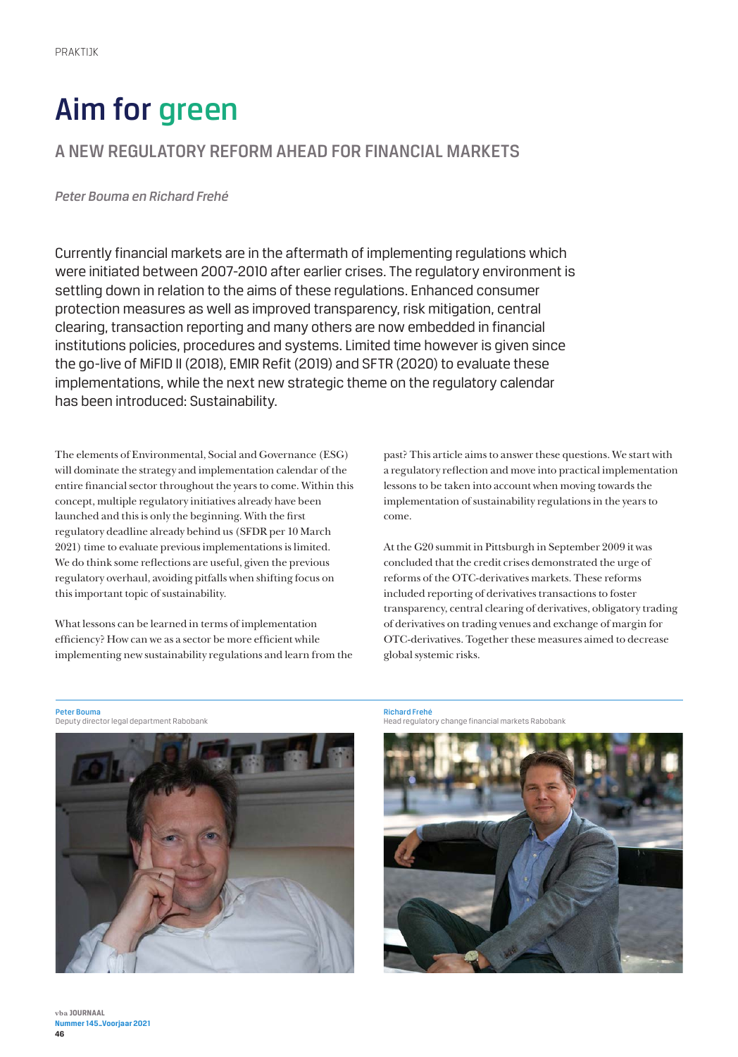# Aim for green

## A NEW REGULATORY REFORM AHEAD FOR FINANCIAL MARKETS

*Peter Bouma en Richard Frehé* 

Currently financial markets are in the aftermath of implementing regulations which were initiated between 2007-2010 after earlier crises. The regulatory environment is settling down in relation to the aims of these regulations. Enhanced consumer protection measures as well as improved transparency, risk mitigation, central clearing, transaction reporting and many others are now embedded in financial institutions policies, procedures and systems. Limited time however is given since the go-live of MiFID II (2018), EMIR Refit (2019) and SFTR (2020) to evaluate these implementations, while the next new strategic theme on the regulatory calendar has been introduced: Sustainability.

The elements of Environmental, Social and Governance (ESG) will dominate the strategy and implementation calendar of the entire financial sector throughout the years to come. Within this concept, multiple regulatory initiatives already have been launched and this is only the beginning. With the first regulatory deadline already behind us (SFDR per 10 March 2021) time to evaluate previous implementations is limited. We do think some reflections are useful, given the previous regulatory overhaul, avoiding pitfalls when shifting focus on this important topic of sustainability.

What lessons can be learned in terms of implementation efficiency? How can we as a sector be more efficient while implementing new sustainability regulations and learn from the past? This article aims to answer these questions. We start with a regulatory reflection and move into practical implementation lessons to be taken into account when moving towards the implementation of sustainability regulations in the years to come.

At the G20 summit in Pittsburgh in September 2009 it was concluded that the credit crises demonstrated the urge of reforms of the OTC-derivatives markets. These reforms included reporting of derivatives transactions to foster transparency, central clearing of derivatives, obligatory trading of derivatives on trading venues and exchange of margin for OTC-derivatives. Together these measures aimed to decrease global systemic risks.

Peter Bouma Deputy director legal department Rabobank



**Richard Frehé**<br>Head regulatory change financial markets Rabobank

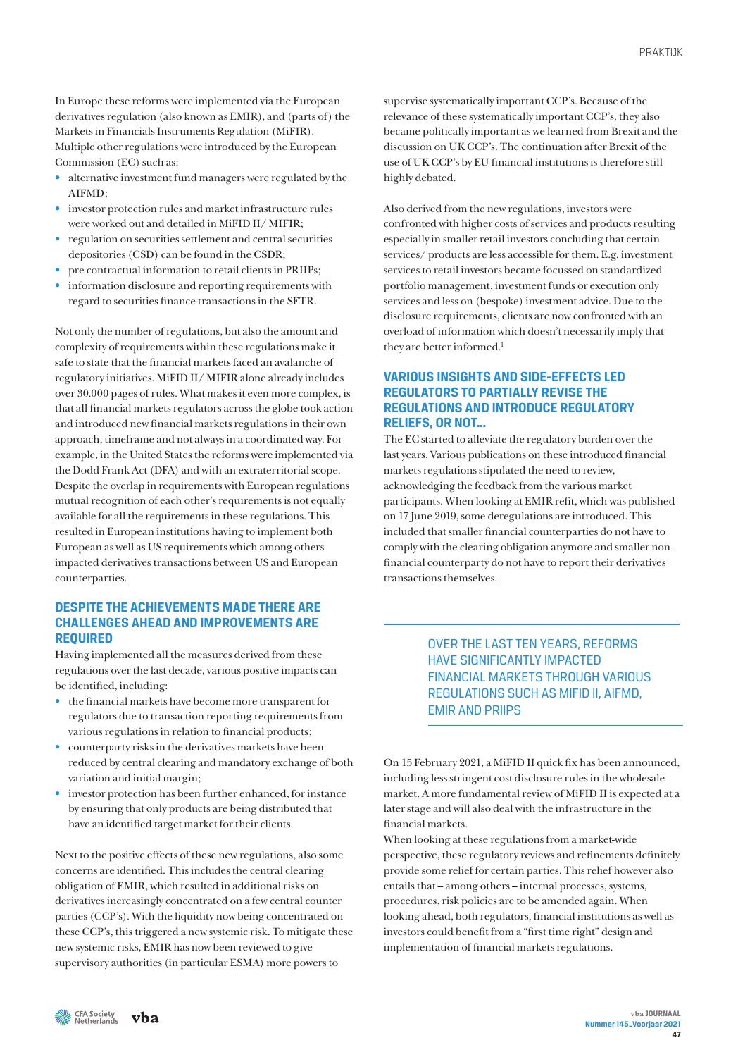In Europe these reforms were implemented via the European derivatives regulation (also known as EMIR), and (parts of) the Markets in Financials Instruments Regulation (MiFIR). Multiple other regulations were introduced by the European Commission (EC) such as:

- alternative investment fund managers were regulated by the AIFMD;
- investor protection rules and market infrastructure rules were worked out and detailed in MiFID II/ MIFIR;
- regulation on securities settlement and central securities depositories (CSD) can be found in the CSDR;
- pre contractual information to retail clients in PRIIPs;
- information disclosure and reporting requirements with regard to securities finance transactions in the SFTR.

Not only the number of regulations, but also the amount and complexity of requirements within these regulations make it safe to state that the financial markets faced an avalanche of regulatory initiatives. MiFID II/ MIFIR alone already includes over 30.000 pages of rules. What makes it even more complex, is that all financial markets regulators across the globe took action and introduced new financial markets regulations in their own approach, timeframe and not always in a coordinated way. For example, in the United States the reforms were implemented via the Dodd Frank Act (DFA) and with an extraterritorial scope. Despite the overlap in requirements with European regulations mutual recognition of each other's requirements is not equally available for all the requirements in these regulations. This resulted in European institutions having to implement both European as well as US requirements which among others impacted derivatives transactions between US and European counterparties.

## **DESPITE THE ACHIEVEMENTS MADE THERE ARE CHALLENGES AHEAD AND IMPROVEMENTS ARE REQUIRED**

Having implemented all the measures derived from these regulations over the last decade, various positive impacts can be identified, including:

- the financial markets have become more transparent for regulators due to transaction reporting requirements from various regulations in relation to financial products;
- counterparty risks in the derivatives markets have been reduced by central clearing and mandatory exchange of both variation and initial margin;
- investor protection has been further enhanced, for instance by ensuring that only products are being distributed that have an identified target market for their clients.

Next to the positive effects of these new regulations, also some concerns are identified. This includes the central clearing obligation of EMIR, which resulted in additional risks on derivatives increasingly concentrated on a few central counter parties (CCP's). With the liquidity now being concentrated on these CCP's, this triggered a new systemic risk. To mitigate these new systemic risks, EMIR has now been reviewed to give supervisory authorities (in particular ESMA) more powers to

supervise systematically important CCP's. Because of the relevance of these systematically important CCP's, they also became politically important as we learned from Brexit and the discussion on UK CCP's. The continuation after Brexit of the use of UK CCP's by EU financial institutions is therefore still highly debated.

Also derived from the new regulations, investors were confronted with higher costs of services and products resulting especially in smaller retail investors concluding that certain services/ products are less accessible for them. E.g. investment services to retail investors became focussed on standardized portfolio management, investment funds or execution only services and less on (bespoke) investment advice. Due to the disclosure requirements, clients are now confronted with an overload of information which doesn't necessarily imply that they are better informed.<sup>1</sup>

## **VARIOUS INSIGHTS AND SIDE-EFFECTS LED REGULATORS TO PARTIALLY REVISE THE REGULATIONS AND INTRODUCE REGULATORY RELIEFS, OR NOT…**

The EC started to alleviate the regulatory burden over the last years. Various publications on these introduced financial markets regulations stipulated the need to review, acknowledging the feedback from the various market participants. When looking at EMIR refit, which was published on 17 June 2019, some deregulations are introduced. This included that smaller financial counterparties do not have to comply with the clearing obligation anymore and smaller nonfinancial counterparty do not have to report their derivatives transactions themselves.

> OVER THE LAST TEN YEARS, REFORMS HAVE SIGNIFICANTLY IMPACTED FINANCIAL MARKETS THROUGH VARIOUS REGULATIONS SUCH AS MIFID II, AIFMD, EMIR AND PRIIPS

On 15 February 2021, a MiFID II quick fix has been announced, including less stringent cost disclosure rules in the wholesale market. A more fundamental review of MiFID II is expected at a later stage and will also deal with the infrastructure in the financial markets.

When looking at these regulations from a market-wide perspective, these regulatory reviews and refinements definitely provide some relief for certain parties. This relief however also entails that – among others – internal processes, systems, procedures, risk policies are to be amended again. When looking ahead, both regulators, financial institutions as well as investors could benefit from a "first time right" design and implementation of financial markets regulations.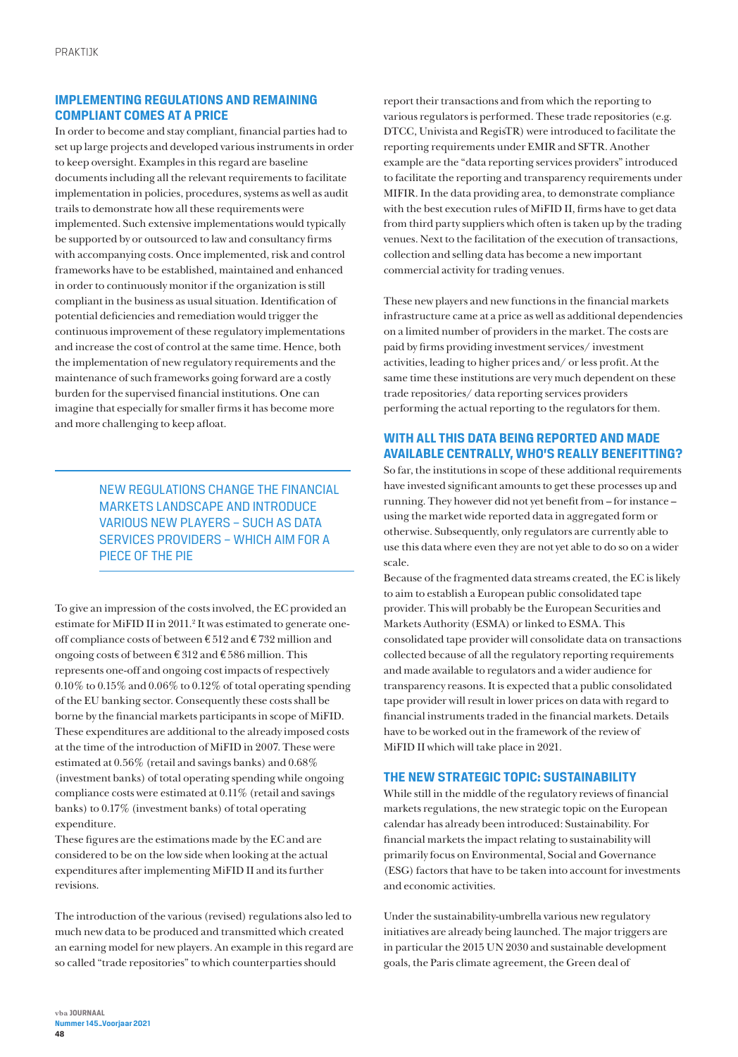## **IMPLEMENTING REGULATIONS AND REMAINING COMPLIANT COMES AT A PRICE**

In order to become and stay compliant, financial parties had to set up large projects and developed various instruments in order to keep oversight. Examples in this regard are baseline documents including all the relevant requirements to facilitate implementation in policies, procedures, systems as well as audit trails to demonstrate how all these requirements were implemented. Such extensive implementations would typically be supported by or outsourced to law and consultancy firms with accompanying costs. Once implemented, risk and control frameworks have to be established, maintained and enhanced in order to continuously monitor if the organization is still compliant in the business as usual situation. Identification of potential deficiencies and remediation would trigger the continuous improvement of these regulatory implementations and increase the cost of control at the same time. Hence, both the implementation of new regulatory requirements and the maintenance of such frameworks going forward are a costly burden for the supervised financial institutions. One can imagine that especially for smaller firms it has become more and more challenging to keep afloat.

> NEW REGULATIONS CHANGE THE FINANCIAL MARKETS LANDSCAPE AND INTRODUCE VARIOUS NEW PLAYERS – SUCH AS DATA SERVICES PROVIDERS – WHICH AIM FOR A PIECE OF THE PIE

To give an impression of the costs involved, the EC provided an estimate for MiFID II in 2011.<sup>2</sup> It was estimated to generate oneoff compliance costs of between € 512 and € 732 million and ongoing costs of between € 312 and € 586 million. This represents one-off and ongoing cost impacts of respectively 0.10% to 0.15% and 0.06% to 0.12% of total operating spending of the EU banking sector. Consequently these costs shall be borne by the financial markets participants in scope of MiFID. These expenditures are additional to the already imposed costs at the time of the introduction of MiFID in 2007. These were estimated at 0.56% (retail and savings banks) and 0.68% (investment banks) of total operating spending while ongoing compliance costs were estimated at 0.11% (retail and savings banks) to 0.17% (investment banks) of total operating expenditure.

These figures are the estimations made by the EC and are considered to be on the low side when looking at the actual expenditures after implementing MiFID II and its further revisions.

The introduction of the various (revised) regulations also led to much new data to be produced and transmitted which created an earning model for new players. An example in this regard are so called "trade repositories" to which counterparties should

report their transactions and from which the reporting to various regulators is performed. These trade repositories (e.g. DTCC, Univista and RegisTR) were introduced to facilitate the reporting requirements under EMIR and SFTR. Another example are the "data reporting services providers" introduced to facilitate the reporting and transparency requirements under MIFIR. In the data providing area, to demonstrate compliance with the best execution rules of MiFID II, firms have to get data from third party suppliers which often is taken up by the trading venues. Next to the facilitation of the execution of transactions, collection and selling data has become a new important commercial activity for trading venues.

These new players and new functions in the financial markets infrastructure came at a price as well as additional dependencies on a limited number of providers in the market. The costs are paid by firms providing investment services/ investment activities, leading to higher prices and/ or less profit. At the same time these institutions are very much dependent on these trade repositories/ data reporting services providers performing the actual reporting to the regulators for them.

## **WITH ALL THIS DATA BEING REPORTED AND MADE AVAILABLE CENTRALLY, WHO'S REALLY BENEFITTING?**

So far, the institutions in scope of these additional requirements have invested significant amounts to get these processes up and running. They however did not yet benefit from – for instance – using the market wide reported data in aggregated form or otherwise. Subsequently, only regulators are currently able to use this data where even they are not yet able to do so on a wider scale.

Because of the fragmented data streams created, the EC is likely to aim to establish a European public consolidated tape provider. This will probably be the European Securities and Markets Authority (ESMA) or linked to ESMA. This consolidated tape provider will consolidate data on transactions collected because of all the regulatory reporting requirements and made available to regulators and a wider audience for transparency reasons. It is expected that a public consolidated tape provider will result in lower prices on data with regard to financial instruments traded in the financial markets. Details have to be worked out in the framework of the review of MiFID II which will take place in 2021.

#### **THE NEW STRATEGIC TOPIC: SUSTAINABILITY**

While still in the middle of the regulatory reviews of financial markets regulations, the new strategic topic on the European calendar has already been introduced: Sustainability. For financial markets the impact relating to sustainability will primarily focus on Environmental, Social and Governance (ESG) factors that have to be taken into account for investments and economic activities.

Under the sustainability-umbrella various new regulatory initiatives are already being launched. The major triggers are in particular the 2015 UN 2030 and sustainable development goals, the Paris climate agreement, the Green deal of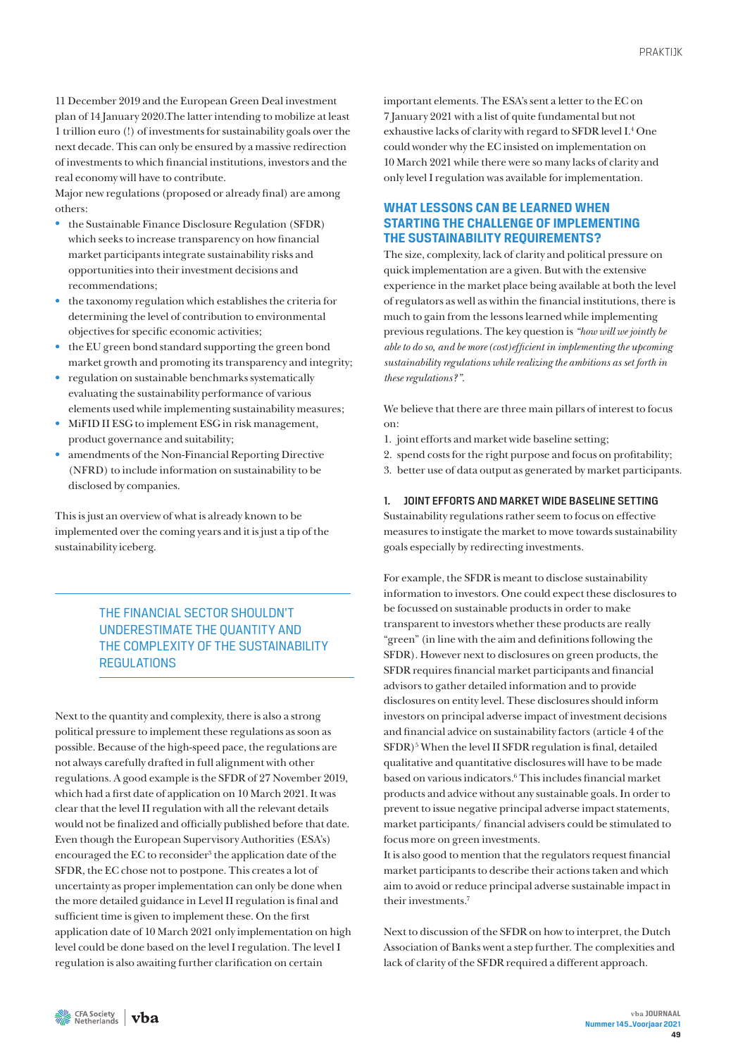11 December 2019 and the European Green Deal investment plan of 14 January 2020.The latter intending to mobilize at least 1 trillion euro (!) of investments for sustainability goals over the next decade. This can only be ensured by a massive redirection of investments to which financial institutions, investors and the real economy will have to contribute.

Major new regulations (proposed or already final) are among others:

- the Sustainable Finance Disclosure Regulation (SFDR) which seeks to increase transparency on how financial market participants integrate sustainability risks and opportunities into their investment decisions and recommendations;
- the taxonomy regulation which establishes the criteria for determining the level of contribution to environmental objectives for specific economic activities;
- the EU green bond standard supporting the green bond market growth and promoting its transparency and integrity;
- regulation on sustainable benchmarks systematically evaluating the sustainability performance of various elements used while implementing sustainability measures;
- MiFID II ESG to implement ESG in risk management, product governance and suitability;
- amendments of the Non-Financial Reporting Directive (NFRD) to include information on sustainability to be disclosed by companies.

This is just an overview of what is already known to be implemented over the coming years and it is just a tip of the sustainability iceberg.

## THE FINANCIAL SECTOR SHOULDN'T UNDERESTIMATE THE QUANTITY AND THE COMPLEXITY OF THE SUSTAINABILITY **REGULATIONS**

Next to the quantity and complexity, there is also a strong political pressure to implement these regulations as soon as possible. Because of the high-speed pace, the regulations are not always carefully drafted in full alignment with other regulations. A good example is the SFDR of 27 November 2019, which had a first date of application on 10 March 2021. It was clear that the level II regulation with all the relevant details would not be finalized and officially published before that date. Even though the European Supervisory Authorities (ESA's) encouraged the EC to reconsider<sup>3</sup> the application date of the SFDR, the EC chose not to postpone. This creates a lot of uncertainty as proper implementation can only be done when the more detailed guidance in Level II regulation is final and sufficient time is given to implement these. On the first application date of 10 March 2021 only implementation on high level could be done based on the level I regulation. The level I regulation is also awaiting further clarification on certain

important elements. The ESA's sent a letter to the EC on 7 January 2021 with a list of quite fundamental but not exhaustive lacks of clarity with regard to SFDR level I.<sup>4</sup> One could wonder why the EC insisted on implementation on 10 March 2021 while there were so many lacks of clarity and only level I regulation was available for implementation.

## **WHAT LESSONS CAN BE LEARNED WHEN STARTING THE CHALLENGE OF IMPLEMENTING THE SUSTAINABILITY REQUIREMENTS?**

The size, complexity, lack of clarity and political pressure on quick implementation are a given. But with the extensive experience in the market place being available at both the level of regulators as well as within the financial institutions, there is much to gain from the lessons learned while implementing previous regulations. The key question is *"how will we jointly be able to do so, and be more (cost)efficient in implementing the upcoming sustainability regulations while realizing the ambitions as set forth in these regulations?"*.

We believe that there are three main pillars of interest to focus on:

- 1. joint efforts and market wide baseline setting;
- 2. spend costs for the right purpose and focus on profitability;
- 3. better use of data output as generated by market participants.

#### 1. JOINT EFFORTS AND MARKET WIDE BASELINE SETTING

Sustainability regulations rather seem to focus on effective measures to instigate the market to move towards sustainability goals especially by redirecting investments.

For example, the SFDR is meant to disclose sustainability information to investors. One could expect these disclosures to be focussed on sustainable products in order to make transparent to investors whether these products are really "green" (in line with the aim and definitions following the SFDR). However next to disclosures on green products, the SFDR requires financial market participants and financial advisors to gather detailed information and to provide disclosures on entity level. These disclosures should inform investors on principal adverse impact of investment decisions and financial advice on sustainability factors (article 4 of the SFDR)<sup>5</sup> When the level II SFDR regulation is final, detailed qualitative and quantitative disclosures will have to be made based on various indicators.6 This includes financial market products and advice without any sustainable goals. In order to prevent to issue negative principal adverse impact statements, market participants/ financial advisers could be stimulated to focus more on green investments.

It is also good to mention that the regulators request financial market participants to describe their actions taken and which aim to avoid or reduce principal adverse sustainable impact in their investments.7

Next to discussion of the SFDR on how to interpret, the Dutch Association of Banks went a step further. The complexities and lack of clarity of the SFDR required a different approach.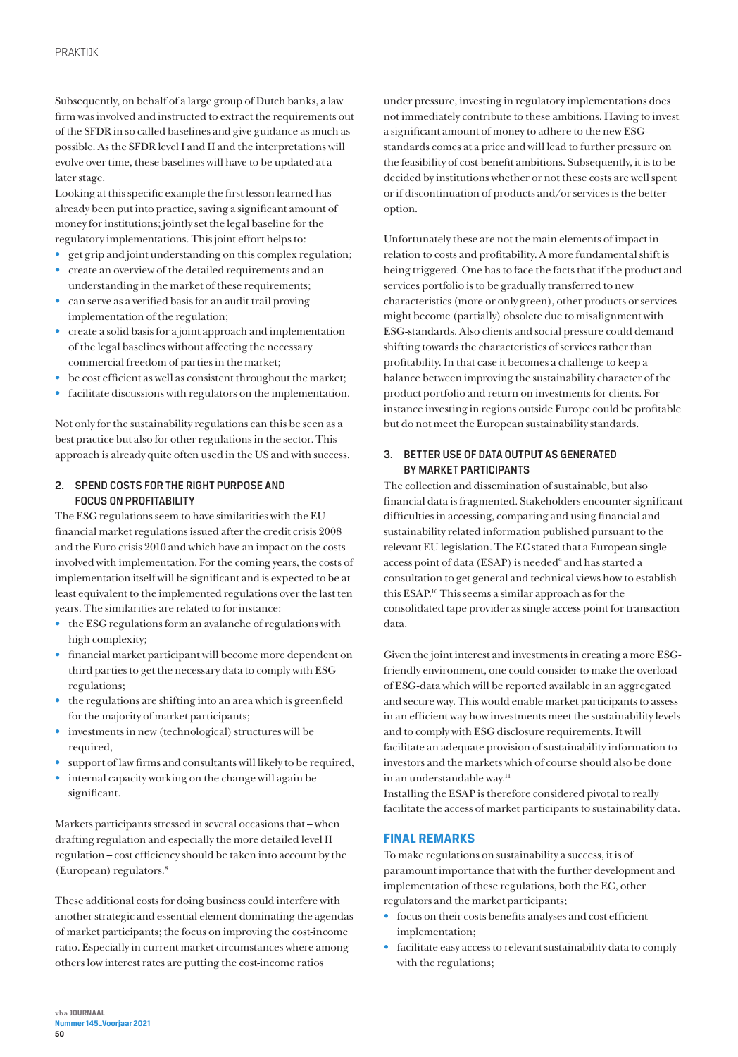Subsequently, on behalf of a large group of Dutch banks, a law firm was involved and instructed to extract the requirements out of the SFDR in so called baselines and give guidance as much as possible. As the SFDR level I and II and the interpretations will evolve over time, these baselines will have to be updated at a later stage.

Looking at this specific example the first lesson learned has already been put into practice, saving a significant amount of money for institutions; jointly set the legal baseline for the regulatory implementations. This joint effort helps to:

- get grip and joint understanding on this complex regulation;
- create an overview of the detailed requirements and an understanding in the market of these requirements;
- can serve as a verified basis for an audit trail proving implementation of the regulation;
- create a solid basis for a joint approach and implementation of the legal baselines without affecting the necessary commercial freedom of parties in the market;
- be cost efficient as well as consistent throughout the market;
- facilitate discussions with regulators on the implementation.

Not only for the sustainability regulations can this be seen as a best practice but also for other regulations in the sector. This approach is already quite often used in the US and with success.

#### 2. SPEND COSTS FOR THE RIGHT PURPOSE AND FOCUS ON PROFITABILITY

The ESG regulations seem to have similarities with the EU financial market regulations issued after the credit crisis 2008 and the Euro crisis 2010 and which have an impact on the costs involved with implementation. For the coming years, the costs of implementation itself will be significant and is expected to be at least equivalent to the implemented regulations over the last ten years. The similarities are related to for instance:

- the ESG regulations form an avalanche of regulations with high complexity;
- financial market participant will become more dependent on third parties to get the necessary data to comply with ESG regulations;
- the regulations are shifting into an area which is greenfield for the majority of market participants;
- investments in new (technological) structures will be required,
- support of law firms and consultants will likely to be required,
- internal capacity working on the change will again be significant.

Markets participants stressed in several occasions that – when drafting regulation and especially the more detailed level II regulation – cost efficiency should be taken into account by the (European) regulators. $8$ 

These additional costs for doing business could interfere with another strategic and essential element dominating the agendas of market participants; the focus on improving the cost-income ratio. Especially in current market circumstances where among others low interest rates are putting the cost-income ratios

under pressure, investing in regulatory implementations does not immediately contribute to these ambitions. Having to invest a significant amount of money to adhere to the new ESGstandards comes at a price and will lead to further pressure on the feasibility of cost-benefit ambitions. Subsequently, it is to be decided by institutions whether or not these costs are well spent or if discontinuation of products and/or services is the better option.

Unfortunately these are not the main elements of impact in relation to costs and profitability. A more fundamental shift is being triggered. One has to face the facts that if the product and services portfolio is to be gradually transferred to new characteristics (more or only green), other products or services might become (partially) obsolete due to misalignment with ESG-standards. Also clients and social pressure could demand shifting towards the characteristics of services rather than profitability. In that case it becomes a challenge to keep a balance between improving the sustainability character of the product portfolio and return on investments for clients. For instance investing in regions outside Europe could be profitable but do not meet the European sustainability standards.

#### 3. BETTER USE OF DATA OUTPUT AS GENERATED BY MARKET PARTICIPANTS

The collection and dissemination of sustainable, but also financial data is fragmented. Stakeholders encounter significant difficulties in accessing, comparing and using financial and sustainability related information published pursuant to the relevant EU legislation. The EC stated that a European single access point of data (ESAP) is needed<sup>9</sup> and has started a consultation to get general and technical views how to establish this ESAP.10 This seems a similar approach as for the consolidated tape provider as single access point for transaction data.

Given the joint interest and investments in creating a more ESGfriendly environment, one could consider to make the overload of ESG-data which will be reported available in an aggregated and secure way. This would enable market participants to assess in an efficient way how investments meet the sustainability levels and to comply with ESG disclosure requirements. It will facilitate an adequate provision of sustainability information to investors and the markets which of course should also be done in an understandable way.<sup>11</sup>

Installing the ESAP is therefore considered pivotal to really facilitate the access of market participants to sustainability data.

## **FINAL REMARKS**

To make regulations on sustainability a success, it is of paramount importance that with the further development and implementation of these regulations, both the EC, other regulators and the market participants;

- focus on their costs benefits analyses and cost efficient implementation;
- facilitate easy access to relevant sustainability data to comply with the regulations;